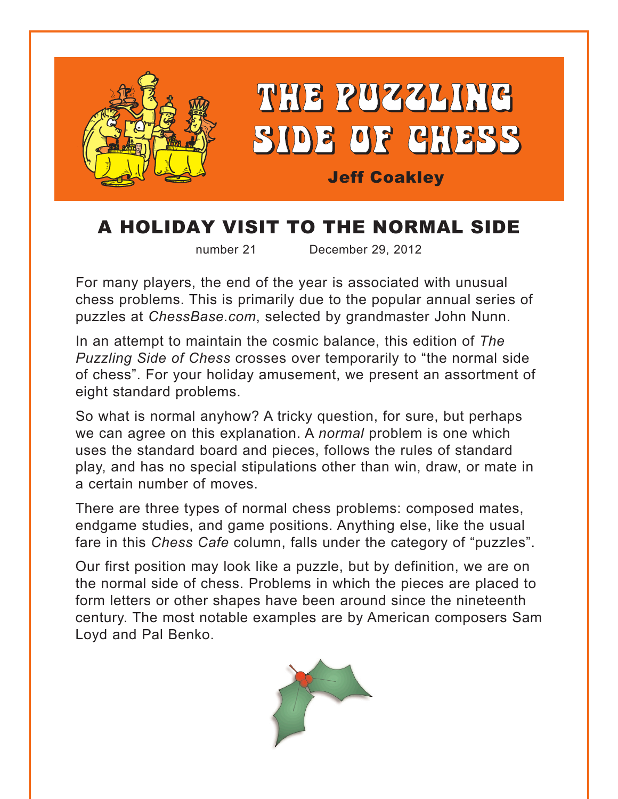

## A HOLIDAY VISIT TO THE NORMAL SIDE

number 21 December 29, 2012

For many players, the end of the year is associated with unusual chess problems. This is primarily due to the popular annual series of puzzles at *ChessBase.com*, selected by grandmaster John Nunn.

In an attempt to maintain the cosmic balance, this edition of *The Puzzling Side of Chess* crosses over temporarily to "the normal side of chess". For your holiday amusement, we present an assortment of eight standard problems.

So what is normal anyhow? A tricky question, for sure, but perhaps we can agree on this explanation. A *normal* problem is one which uses the standard board and pieces, follows the rules of standard play, and has no special stipulations other than win, draw, or mate in a certain number of moves.

There are three types of normal chess problems: composed mates, endgame studies, and game positions. Anything else, like the usual fare in this *Chess Cafe* column, falls under the category of "puzzles".

Our first position may look like a puzzle, but by definition, we are on the normal side of chess. Problems in which the pieces are placed to form letters or other shapes have been around since the nineteenth century. The most notable examples are by American composers Sam Loyd and Pal Benko.

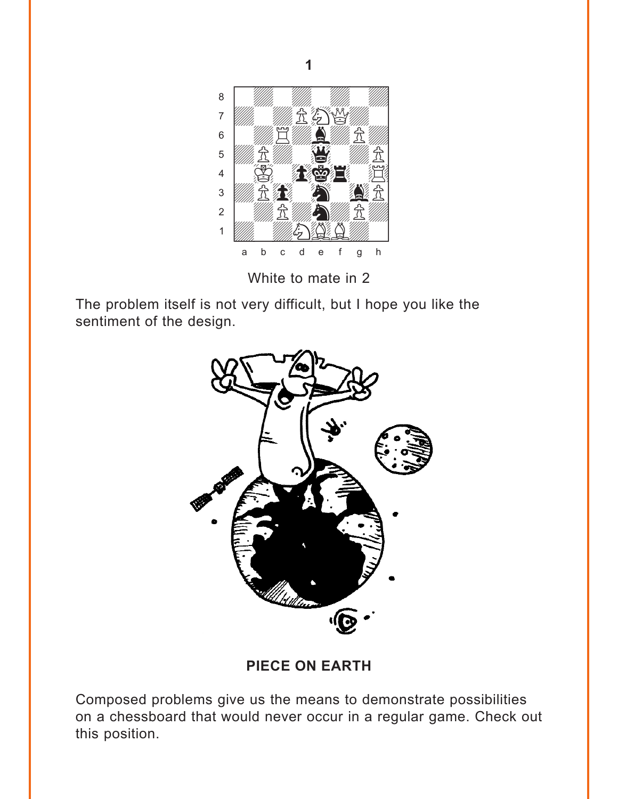<span id="page-1-0"></span>

White to mate in 2

The problem itself is not very difficult, but I hope you like the sentiment of the design.



**PIECE ON EARTH** 

Composed problems give us the means to demonstrate possibilities on a chessboard that would never occur in a regular game. Check out this position.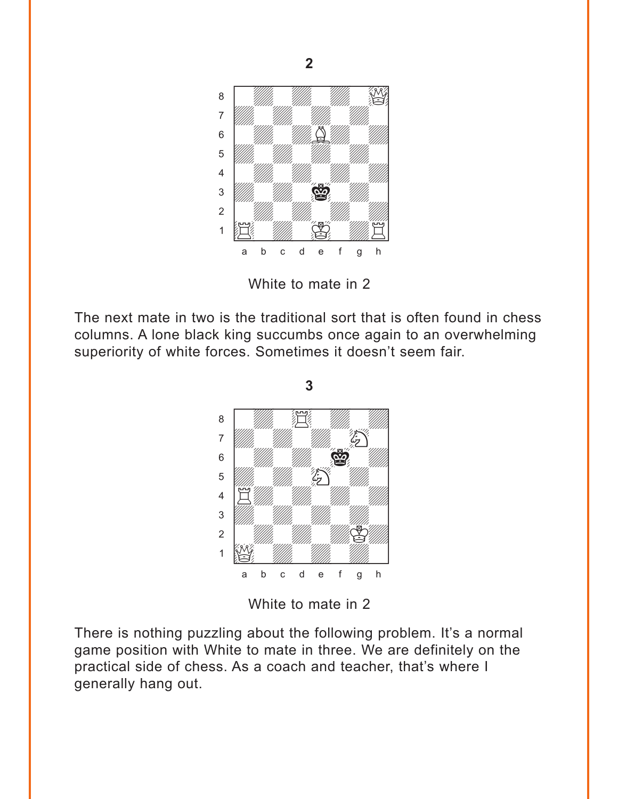<span id="page-2-0"></span>

**2** 

White to mate in 2

The next mate in two is the traditional sort that is often found in chess columns. A lone black king succumbs once again to an overwhelming superiority of white forces. Sometimes it doesn't seem fair.

**3** 



White to mate in 2

There is nothing puzzling about the following problem. It's a normal game position with White to mate in three. We are definitely on the practical side of chess. As a coach and teacher, that's where I generally hang out.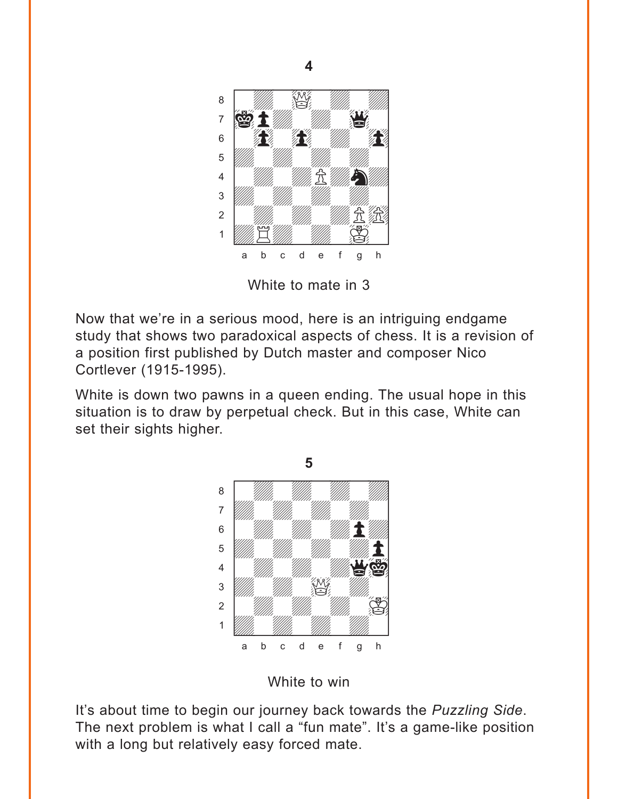<span id="page-3-0"></span>

White to mate in 3

Now that we're in a serious mood, here is an intriguing endgame study that shows two paradoxical aspects of chess. It is a revision of a position first published by Dutch master and composer Nico Cortlever (1915-1995).

White is down two pawns in a queen ending. The usual hope in this situation is to draw by perpetual check. But in this case, White can set their sights higher.





It's about time to begin our journey back towards the *Puzzling Side*. The next problem is what I call a "fun mate". It's a game-like position with a long but relatively easy forced mate.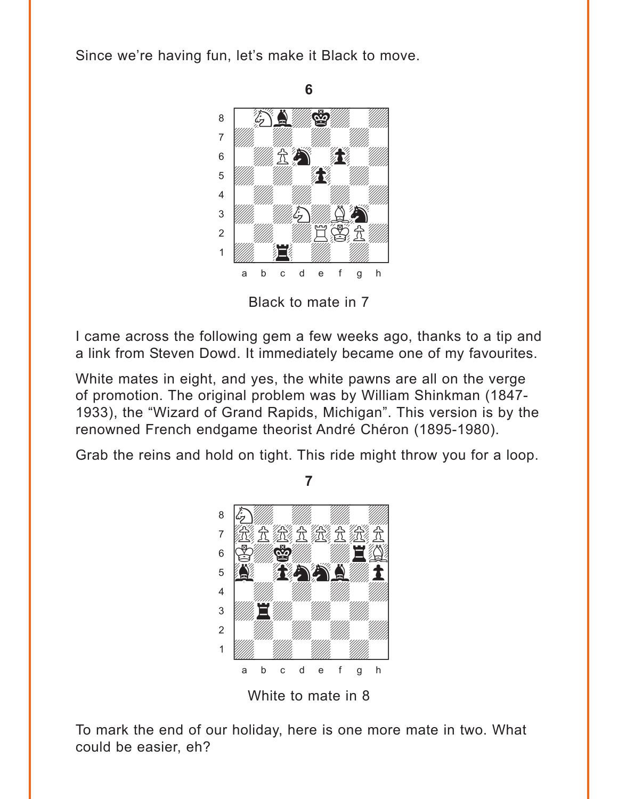<span id="page-4-0"></span>Since we're having fun, let's make it Black to move.



Black to mate in 7

I came across the following gem a few weeks ago, thanks to a tip and a link from Steven Dowd. It immediately became one of my favourites.

White mates in eight, and yes, the white pawns are all on the verge of promotion. The original problem was by William Shinkman (1847- 1933), the "Wizard of Grand Rapids, Michigan". This version is by the renowned French endgame theorist André Chéron (1895-1980).

Grab the reins and hold on tight. This ride might throw you for a loop.

**7** 



White to mate in 8

To mark the end of our holiday, here is one more mate in two. What could be easier, eh?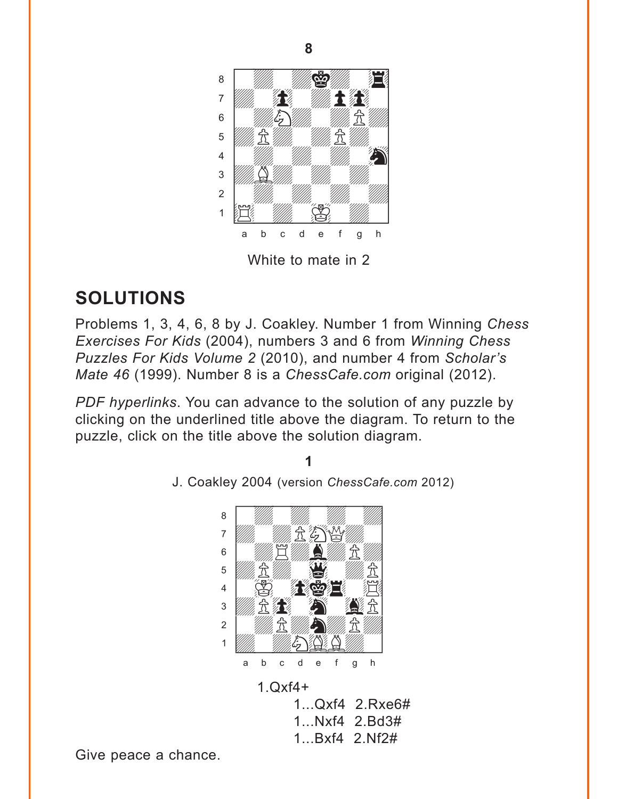<span id="page-5-0"></span>

## **SOLUTIONS**

Problems 1, 3, 4, 6, 8 by J. Coakley. Number 1 from Winning Chess Exercises For Kids (2004), numbers 3 and 6 from Winning Chess Puzzles For Kids Volume 2 (2010), and number 4 from Scholar's Mate 46 (1999). Number 8 is a ChessCafe.com original (2012).

PDF hyperlinks. You can advance to the solution of any puzzle by clicking on the underlined title above the diagram. To return to the puzzle, click on the title above the solution diagram.



J. Coakley 2004 (version ChessCafe.com 2012)

Give peace a chance.

8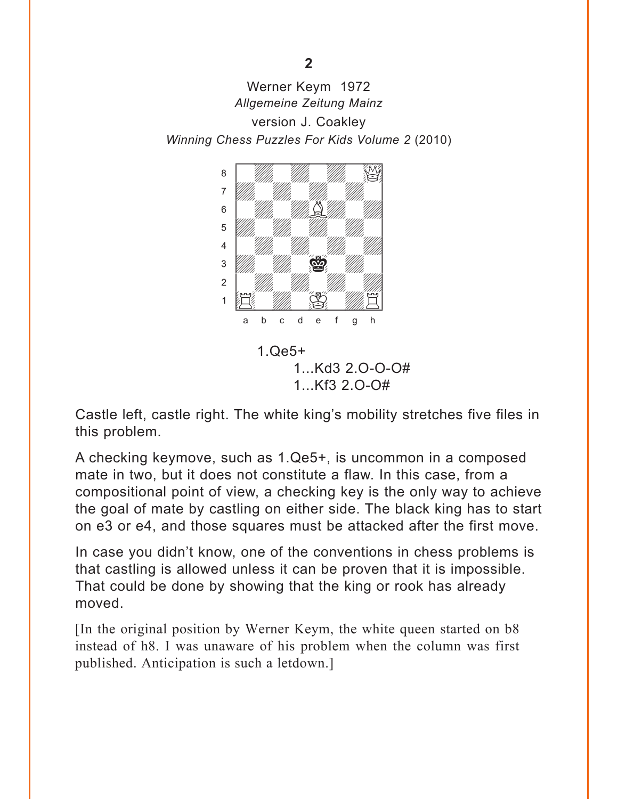<span id="page-6-0"></span>Werner Keym 1972 Allgemeine Zeitung Mainz version J. Coakley Winning Chess Puzzles For Kids Volume 2 (2010)



 $1.$  $Qe5+$  $1...Kd32.0-0-0#$  $1...Kf32.0-0#$ 

Castle left, castle right. The white king's mobility stretches five files in this problem.

A checking keymove, such as 1.Qe5+, is uncommon in a composed mate in two, but it does not constitute a flaw. In this case, from a compositional point of view, a checking key is the only way to achieve the goal of mate by castling on either side. The black king has to start on e3 or e4, and those squares must be attacked after the first move.

In case you didn't know, one of the conventions in chess problems is that castling is allowed unless it can be proven that it is impossible. That could be done by showing that the king or rook has already moved.

[In the original position by Werner Keym, the white queen started on b8 instead of h8. I was unaware of his problem when the column was first published. Anticipation is such a letdown.]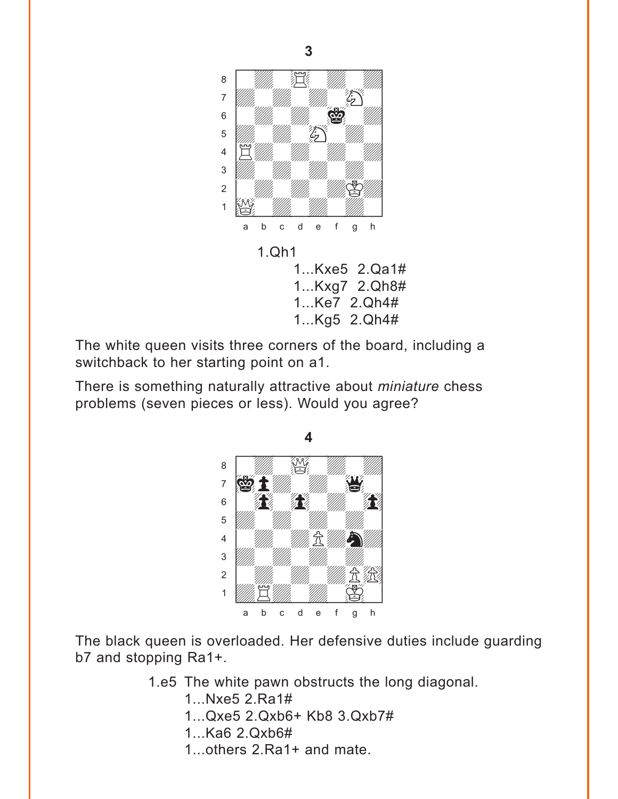<span id="page-7-0"></span>

The white queen visits three corners of the board, including a switchback to her starting point on a1.

There is something naturally attractive about *miniature* chess problems (seven pieces or less). Would you agree?



The black queen is overloaded. Her defensive duties include guarding b7 and stopping Ra1+.

1.e5 The white pawn obstructs the long diagonal.

1...Nxe5 2.Ra1# 1...Qxe5 2.Qxb6+ Kb8 3.Qxb7# 1...Ka6 2.Qxb6# 1...others 2.Ra1+ and mate.

**3**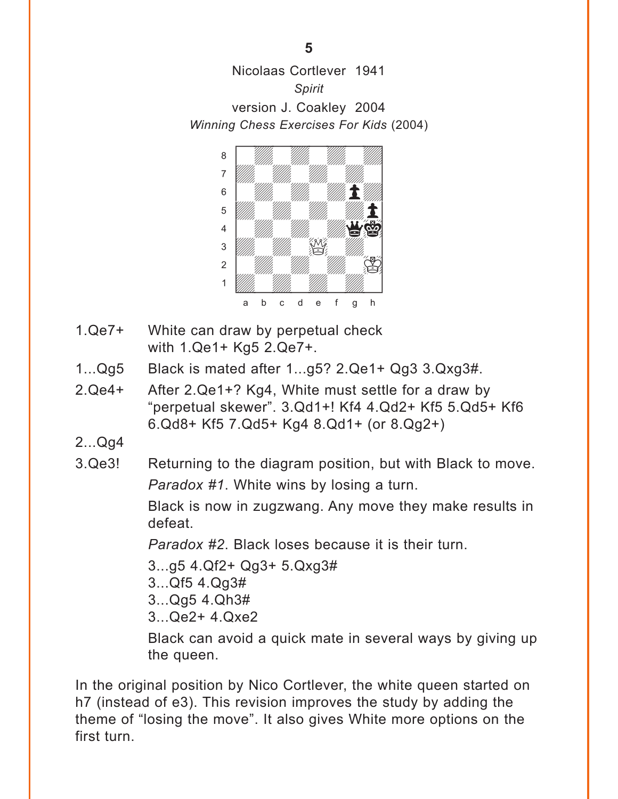<span id="page-8-0"></span>Nicolaas Cortlever 1941 *Spirit* version J. Coakley 2004 *Winning Chess Exercises For Kids* (2004)



- 1.Qe7+ White can draw by perpetual check with 1.Qe1+ Kg5 2.Qe7+.
- 1...Qg5 Black is mated after 1...g5? 2.Qe1+ Qg3 3.Qxg3#.
- 2.Qe4+ After 2.Qe1+? Kg4, White must settle for a draw by "perpetual skewer". 3.Qd1+! Kf4 4.Qd2+ Kf5 5.Qd5+ Kf6 6.Qd8+ Kf5 7.Qd5+ Kg4 8.Qd1+ (or 8.Qg2+)
- 2...Qg4
- 3.Qe3! Returning to the diagram position, but with Black to move. *Paradox #1*. White wins by losing a turn.

Black is now in zugzwang. Any move they make results in defeat.

*Paradox #2*. Black loses because it is their turn.

- 3...g5 4.Qf2+ Qg3+ 5.Qxg3#
- 3...Qf5 4.Qg3#
- 3...Qg5 4.Qh3#
- 3...Qe2+ 4.Qxe2

Black can avoid a quick mate in several ways by giving up the queen.

In the original position by Nico Cortlever, the white queen started on h7 (instead of e3). This revision improves the study by adding the theme of "losing the move". It also gives White more options on the first turn.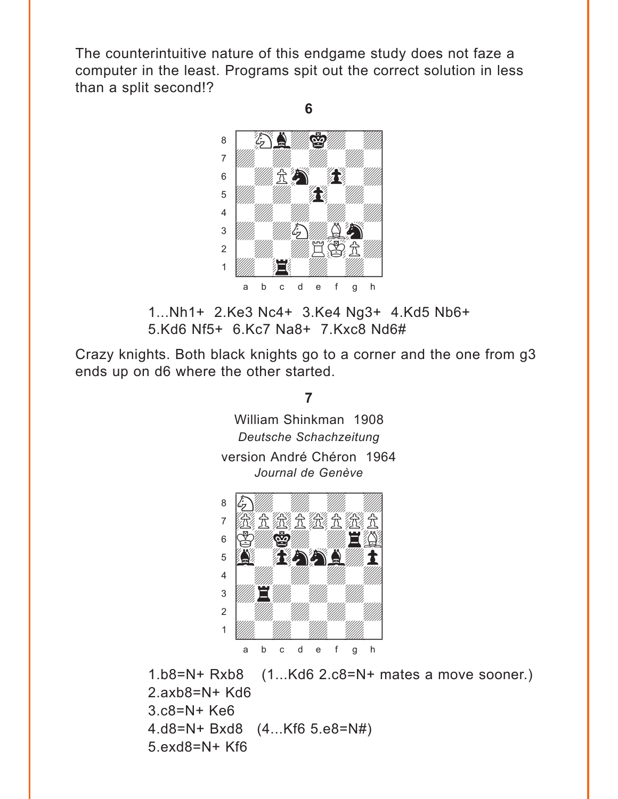<span id="page-9-0"></span>The counterintuitive nature of this endgame study does not faze a computer in the least. Programs spit out the correct solution in less than a split second!?

**6** 



1...Nh1+ 2.Ke3 Nc4+ 3.Ke4 Ng3+ 4.Kd5 Nb6+ 5.Kd6 Nf5+ 6.Kc7 Na8+ 7.Kxc8 Nd6#

Crazy knights. Both black knights go to a corner and the one from g3 ends up on d6 where the other started.

**7** 

William [Shinkma](#page-4-0)n 1908 *Deutsche Schachzeitung* version André Chéron 1964 *Journal de Genève*  $\frac{1}{2}$ 



1.b8=N+ Rxb8 (1...Kd6 2.c8=N+ mates a move sooner.) 2.axb8=N+ Kd6 3.c8=N+ Ke6 4.d8=N+ Bxd8 (4...Kf6 5.e8=N#) 5.exd8=N+ Kf6